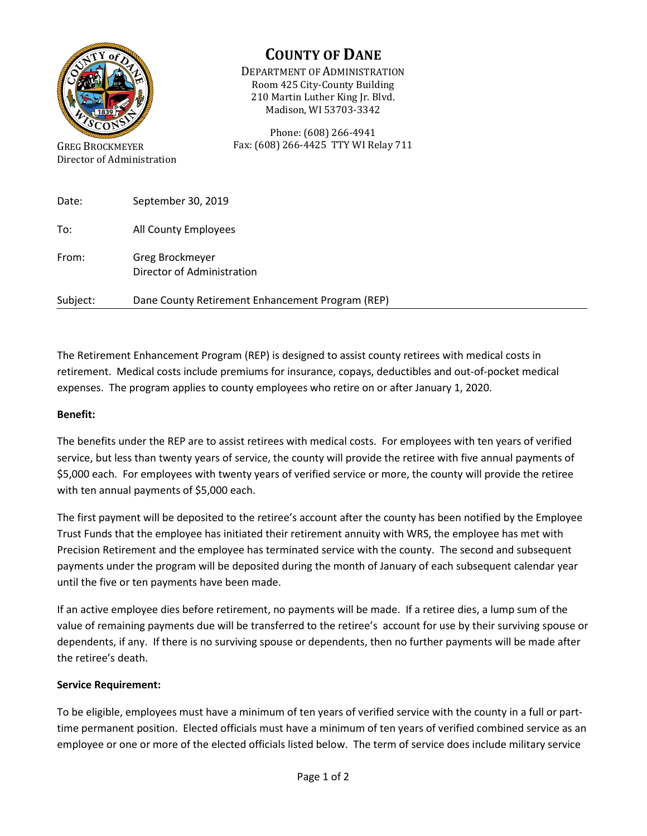

Director of Administration

# **COUNTY OF DANE**

DEPARTMENT OF ADMINISTRATION Room 425 City-County Building 210 Martin Luther King Jr. Blvd. Madison, WI 53703-3342

Phone: (608) 266-4941 Fax: (608) 266-4425 TTY WI Relay 711

| Date:    | September 30, 2019                               |
|----------|--------------------------------------------------|
| To:      | All County Employees                             |
| From:    | Greg Brockmeyer<br>Director of Administration    |
| Subject: | Dane County Retirement Enhancement Program (REP) |

The Retirement Enhancement Program (REP) is designed to assist county retirees with medical costs in retirement. Medical costs include premiums for insurance, copays, deductibles and out-of-pocket medical expenses. The program applies to county employees who retire on or after January 1, 2020.

### **Benefit:**

The benefits under the REP are to assist retirees with medical costs. For employees with ten years of verified service, but less than twenty years of service, the county will provide the retiree with five annual payments of \$5,000 each. For employees with twenty years of verified service or more, the county will provide the retiree with ten annual payments of \$5,000 each.

The first payment will be deposited to the retiree's account after the county has been notified by the Employee Trust Funds that the employee has initiated their retirement annuity with WRS, the employee has met with Precision Retirement and the employee has terminated service with the county. The second and subsequent payments under the program will be deposited during the month of January of each subsequent calendar year until the five or ten payments have been made.

If an active employee dies before retirement, no payments will be made. If a retiree dies, a lump sum of the value of remaining payments due will be transferred to the retiree's account for use by their surviving spouse or dependents, if any. If there is no surviving spouse or dependents, then no further payments will be made after the retiree's death.

#### **Service Requirement:**

To be eligible, employees must have a minimum of ten years of verified service with the county in a full or parttime permanent position. Elected officials must have a minimum of ten years of verified combined service as an employee or one or more of the elected officials listed below. The term of service does include military service